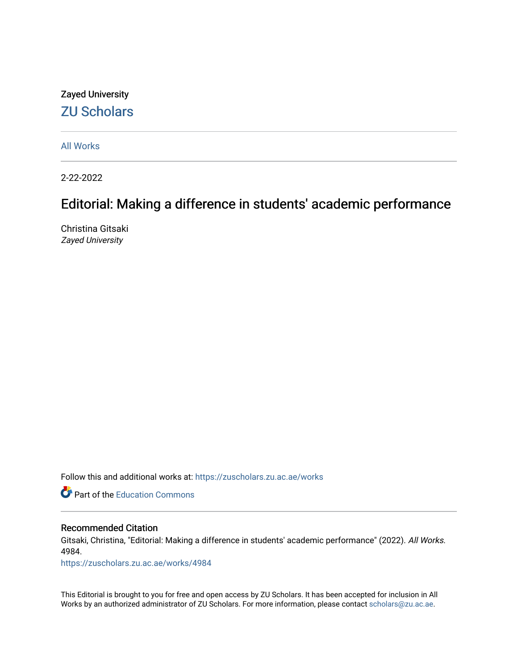## Zayed University [ZU Scholars](https://zuscholars.zu.ac.ae/)

[All Works](https://zuscholars.zu.ac.ae/works)

2-22-2022

## Editorial: Making a difference in students' academic performance

Christina Gitsaki Zayed University

Follow this and additional works at: [https://zuscholars.zu.ac.ae/works](https://zuscholars.zu.ac.ae/works?utm_source=zuscholars.zu.ac.ae%2Fworks%2F4984&utm_medium=PDF&utm_campaign=PDFCoverPages)

**C** Part of the [Education Commons](http://network.bepress.com/hgg/discipline/784?utm_source=zuscholars.zu.ac.ae%2Fworks%2F4984&utm_medium=PDF&utm_campaign=PDFCoverPages)

### Recommended Citation

Gitsaki, Christina, "Editorial: Making a difference in students' academic performance" (2022). All Works. 4984.

[https://zuscholars.zu.ac.ae/works/4984](https://zuscholars.zu.ac.ae/works/4984?utm_source=zuscholars.zu.ac.ae%2Fworks%2F4984&utm_medium=PDF&utm_campaign=PDFCoverPages)

This Editorial is brought to you for free and open access by ZU Scholars. It has been accepted for inclusion in All Works by an authorized administrator of ZU Scholars. For more information, please contact [scholars@zu.ac.ae](mailto:scholars@zu.ac.ae).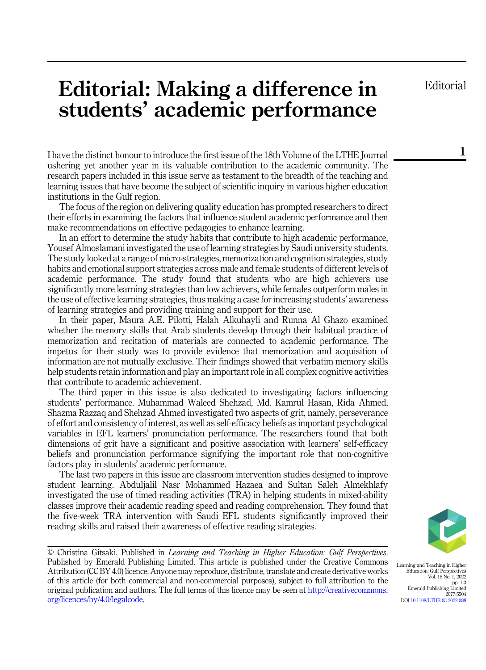Editorial

1

# Editorial: Making a difference in students' academic performance

I have the distinct honour to introduce the first issue of the 18th Volume of the LTHE Journal ushering yet another year in its valuable contribution to the academic community. The research papers included in this issue serve as testament to the breadth of the teaching and learning issues that have become the subject of scientific inquiry in various higher education institutions in the Gulf region.

The focus of the region on delivering quality education has prompted researchers to direct their efforts in examining the factors that influence student academic performance and then make recommendations on effective pedagogies to enhance learning.

In an effort to determine the study habits that contribute to high academic performance, Yousef Almoslamani investigated the use of learning strategies by Saudi university students. The study looked at a range of micro-strategies, memorization and cognition strategies, study habits and emotional support strategies across male and female students of different levels of academic performance. The study found that students who are high achievers use significantly more learning strategies than low achievers, while females outperform males in the use of effective learning strategies, thus making a case for increasing students' awareness of learning strategies and providing training and support for their use.

In their paper, Maura A.E. Pilotti, Halah Alkuhayli and Runna Al Ghazo examined whether the memory skills that Arab students develop through their habitual practice of memorization and recitation of materials are connected to academic performance. The impetus for their study was to provide evidence that memorization and acquisition of information are not mutually exclusive. Their findings showed that verbatim memory skills help students retain information and play an important role in all complex cognitive activities that contribute to academic achievement.

The third paper in this issue is also dedicated to investigating factors influencing students' performance. Muhammad Waleed Shehzad, Md. Kamrul Hasan, Rida Ahmed, Shazma Razzaq and Shehzad Ahmed investigated two aspects of grit, namely, perseverance of effort and consistency of interest, as well as self-efficacy beliefs as important psychological variables in EFL learners' pronunciation performance. The researchers found that both dimensions of grit have a significant and positive association with learners' self-efficacy beliefs and pronunciation performance signifying the important role that non-cognitive factors play in students' academic performance.

The last two papers in this issue are classroom intervention studies designed to improve student learning. Abduljalil Nasr Mohammed Hazaea and Sultan Saleh Almekhlafy investigated the use of timed reading activities (TRA) in helping students in mixed-ability classes improve their academic reading speed and reading comprehension. They found that the five-week TRA intervention with Saudi EFL students significantly improved their reading skills and raised their awareness of effective reading strategies.

© Christina Gitsaki. Published in Learning and Teaching in Higher Education: Gulf Perspectives. Published by Emerald Publishing Limited. This article is published under the Creative Commons Attribution (CC BY 4.0) licence. Anyone may reproduce, distribute, translate and create derivative works of this article (for both commercial and non-commercial purposes), subject to full attribution to the original publication and authors. The full terms of this licence may be seen at [http://creativecommons.](http://creativecommons.org/licences/by/4.0/legalcode) [org/licences/by/4.0/legalcode](http://creativecommons.org/licences/by/4.0/legalcode).



Learning and Teaching in Higher Education: Gulf Perspectives Vol. 18 No. 1, 2022 pp. 1-3 Emerald Publishing Limited 2077-5504 DOI [10.1108/LTHE-03-2022-088](https://doi.org/10.1108/LTHE-03-2022-088)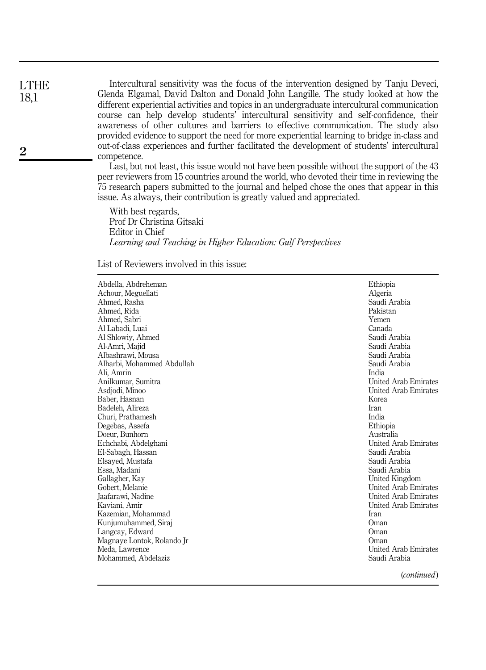Intercultural sensitivity was the focus of the intervention designed by Tanju Deveci, Glenda Elgamal, David Dalton and Donald John Langille. The study looked at how the different experiential activities and topics in an undergraduate intercultural communication course can help develop students' intercultural sensitivity and self-confidence, their awareness of other cultures and barriers to effective communication. The study also provided evidence to support the need for more experiential learning to bridge in-class and out-of-class experiences and further facilitated the development of students' intercultural competence.

Last, but not least, this issue would not have been possible without the support of the 43 peer reviewers from 15 countries around the world, who devoted their time in reviewing the 75 research papers submitted to the journal and helped chose the ones that appear in this issue. As always, their contribution is greatly valued and appreciated.

With best regards, Prof Dr Christina Gitsaki Editor in Chief Learning and Teaching in Higher Education: Gulf Perspectives

List of Reviewers involved in this issue:

| Abdella, Abdreheman<br>Achour, Meguellati<br>Ahmed, Rasha<br>Ahmed, Rida<br>Ahmed, Sabri<br>Al Labadi. Luai<br>Al Shlowiy, Ahmed | Ethiopia<br>Algeria<br>Saudi Arabia<br>Pakistan<br>Yemen<br>Canada<br>Saudi Arabia |
|----------------------------------------------------------------------------------------------------------------------------------|------------------------------------------------------------------------------------|
| Al-Amri, Majid                                                                                                                   | Saudi Arabia                                                                       |
| Albashrawi, Mousa                                                                                                                | Saudi Arabia                                                                       |
| Alharbi, Mohammed Abdullah                                                                                                       | Saudi Arabia                                                                       |
| Ali, Amrin                                                                                                                       | India                                                                              |
| Anilkumar, Sumitra                                                                                                               | <b>United Arab Emirates</b>                                                        |
| Asdjodi, Minoo                                                                                                                   | <b>United Arab Emirates</b>                                                        |
| Baber, Hasnan                                                                                                                    | Korea                                                                              |
| Badeleh, Alireza                                                                                                                 | <b>Iran</b>                                                                        |
| Churi, Prathamesh                                                                                                                | India                                                                              |
| Degebas, Assefa                                                                                                                  | Ethiopia                                                                           |
| Doeur, Bunhorn                                                                                                                   | Australia                                                                          |
| Echchabi, Abdelghani                                                                                                             | United Arab Emirates                                                               |
| El-Sabagh, Hassan                                                                                                                | Saudi Arabia                                                                       |
| Elsaved, Mustafa                                                                                                                 | Saudi Arabia                                                                       |
| Essa, Madani                                                                                                                     | Saudi Arabia                                                                       |
| Gallagher, Kav                                                                                                                   | United Kingdom                                                                     |
| Gobert, Melanie                                                                                                                  | <b>United Arab Emirates</b>                                                        |
| Jaafarawi, Nadine                                                                                                                | <b>United Arab Emirates</b>                                                        |
| Kaviani, Amir                                                                                                                    | <b>United Arab Emirates</b>                                                        |
| Kazemian, Mohammad                                                                                                               | Iran                                                                               |
| Kunjumuhammed, Siraj                                                                                                             | Oman                                                                               |
| Langcay, Edward                                                                                                                  | Oman                                                                               |
| Magnaye Lontok, Rolando Jr                                                                                                       | Oman                                                                               |
| Meda, Lawrence                                                                                                                   | <b>United Arab Emirates</b>                                                        |
| Mohammed, Abdelaziz                                                                                                              | Saudi Arabia                                                                       |
|                                                                                                                                  | (a <sub>optimal</sub> )                                                            |

2

LTHE 18,1

(continued)